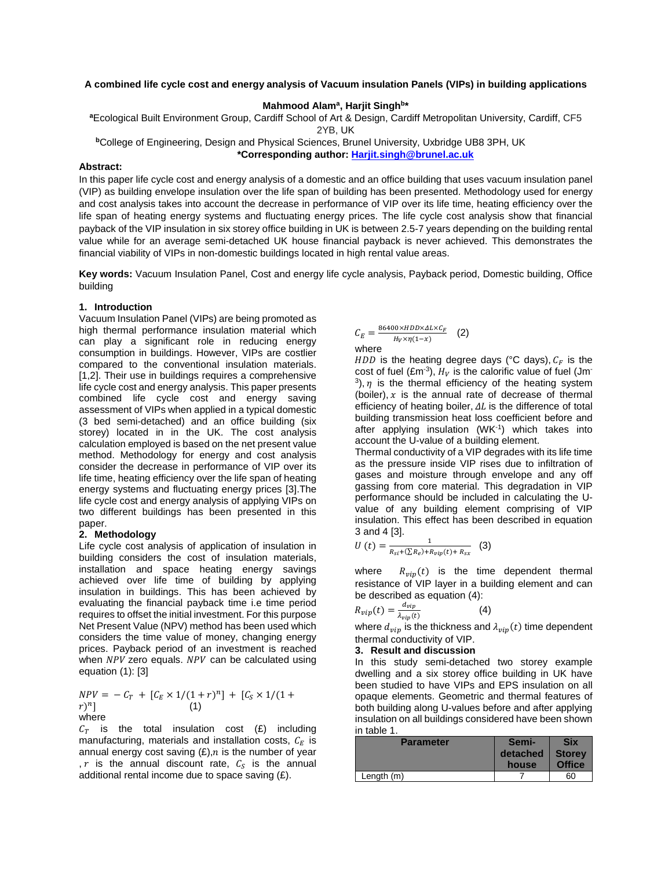## **A combined life cycle cost and energy analysis of Vacuum insulation Panels (VIPs) in building applications**

## Mahmood Alam<sup>a</sup>, Harjit Singh<sup>b\*</sup>

**<sup>a</sup>**Ecological Built Environment Group, Cardiff School of Art & Design, Cardiff Metropolitan University, Cardiff, CF5

2YB, UK

**<sup>b</sup>**College of Engineering, Design and Physical Sciences, Brunel University, Uxbridge UB8 3PH, UK

**\*Corresponding author: [Harjit.singh@brunel.ac.uk](mailto:Harjit.singh@brunel.ac.uk)**

#### **Abstract:**

In this paper life cycle cost and energy analysis of a domestic and an office building that uses vacuum insulation panel (VIP) as building envelope insulation over the life span of building has been presented. Methodology used for energy and cost analysis takes into account the decrease in performance of VIP over its life time, heating efficiency over the life span of heating energy systems and fluctuating energy prices. The life cycle cost analysis show that financial payback of the VIP insulation in six storey office building in UK is between 2.5-7 years depending on the building rental value while for an average semi-detached UK house financial payback is never achieved. This demonstrates the financial viability of VIPs in non-domestic buildings located in high rental value areas.

**Key words:** Vacuum Insulation Panel, Cost and energy life cycle analysis, Payback period, Domestic building, Office building

#### **1. Introduction**

Vacuum Insulation Panel (VIPs) are being promoted as high thermal performance insulation material which can play a significant role in reducing energy consumption in buildings. However, VIPs are costlier compared to the conventional insulation materials. [1,2]. Their use in buildings requires a comprehensive life cycle cost and energy analysis. This paper presents combined life cycle cost and energy saving assessment of VIPs when applied in a typical domestic (3 bed semi-detached) and an office building (six storey) located in in the UK. The cost analysis calculation employed is based on the net present value method. Methodology for energy and cost analysis consider the decrease in performance of VIP over its life time, heating efficiency over the life span of heating energy systems and fluctuating energy prices [3].The life cycle cost and energy analysis of applying VIPs on two different buildings has been presented in this paper.

#### **2. Methodology**

Life cycle cost analysis of application of insulation in building considers the cost of insulation materials, installation and space heating energy savings achieved over life time of building by applying insulation in buildings. This has been achieved by evaluating the financial payback time i.e time period requires to offset the initial investment. For this purpose Net Present Value (NPV) method has been used which considers the time value of money, changing energy prices. Payback period of an investment is reached when  $NPV$  zero equals.  $NPV$  can be calculated using equation (1): [3]

$$
NPV = -C_T + [C_E \times 1/(1+r)^n] + [C_S \times 1/(1+r)^n]
$$
  
(1)  
where

 $C_T$  is the total insulation cost (£) including manufacturing, materials and installation costs,  $C_E$  is annual energy cost saving  $(E)$ , *n* is the number of year , r is the annual discount rate,  $C_s$  is the annual additional rental income due to space saving (£).

$$
C_E = \frac{86400 \times HDD \times \Delta L \times C_F}{H_V \times \eta(1 - x)}
$$
 (2)

HDD is the heating degree days (°C days),  $C_F$  is the cost of fuel (£m<sup>-3</sup>),  $H_V$  is the calorific value of fuel (Jm- $3$ ), *n* is the thermal efficiency of the heating system (boiler),  $x$  is the annual rate of decrease of thermal efficiency of heating boiler,  $\Delta L$  is the difference of total building transmission heat loss coefficient before and after applying insulation (WK-1) which takes into account the U-value of a building element.

Thermal conductivity of a VIP degrades with its life time as the pressure inside VIP rises due to infiltration of gases and moisture through envelope and any off gassing from core material. This degradation in VIP performance should be included in calculating the Uvalue of any building element comprising of VIP insulation. This effect has been described in equation 3 and 4 [3].

$$
U\left(t\right) = \frac{1}{R_{si} + \left(\sum R_e\right) + R_{vip}\left(t\right) + R_{sx}}\tag{3}
$$

where  $R_{vip}(t)$  is the time dependent thermal resistance of VIP layer in a building element and can be described as equation (4):

$$
R_{vip}(t) = \frac{d_{vip}}{\lambda_{vip}(t)}\tag{4}
$$

where  $d_{vip}$  is the thickness and  $\lambda_{vip}(t)$  time dependent thermal conductivity of VIP.

# **3. Result and discussion**

In this study semi-detached two storey example dwelling and a six storey office building in UK have been studied to have VIPs and EPS insulation on all opaque elements. Geometric and thermal features of both building along U-values before and after applying insulation on all buildings considered have been shown in table 1.

| $111$ $14010$ $11$<br><b>Parameter</b> | Semi-<br>detached<br>house | Six<br><b>Storey</b><br><b>Office</b> |
|----------------------------------------|----------------------------|---------------------------------------|
| Length $(m)$                           |                            | 60                                    |